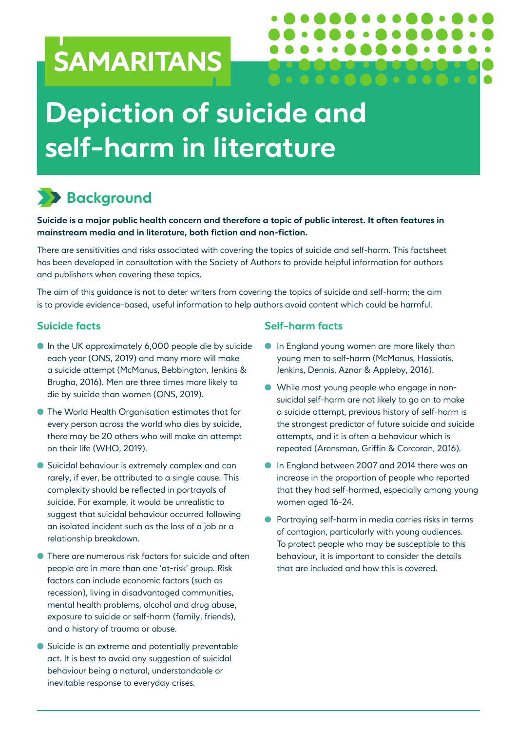# SAMARITANS

# **Depiction of suicide and self-harm in literature**

## **Background**

**Suicide is a major public health concern and therefore a topic of public interest. It often features in mainstream media and in literature, both fiction and non-fiction.**

There are sensitivities and risks associated with covering the topics of suicide and self-harm. This factsheet has been developed in consultation with the Society of Authors to provide helpful information for authors and publishers when covering these topics.

The aim of this guidance is not to deter writers from covering the topics of suicide and self-harm; the aim is to provide evidence-based, useful information to help authors avoid content which could be harmful.

#### **Suicide facts**

- $\bullet$  In the UK approximately 6,000 people die by suicide each year (ONS, 2019) and many more will make a suicide attempt (McManus, Bebbington, Jenkins & Brugha, 2016). Men are three times more likely to die by suicide than women (ONS, 2019).
- **The World Health Organisation estimates that for** every person across the world who dies by suicide, there may be 20 others who will make an attempt on their life (WHO, 2019).
- **C** Suicidal behaviour is extremely complex and can rarely, if ever, be attributed to a single cause. This complexity should be reflected in portrayals of suicide. For example, it would be unrealistic to suggest that suicidal behaviour occurred following an isolated incident such as the loss of a job or a relationship breakdown.
- **I** There are numerous risk factors for suicide and often people are in more than one 'at-risk' group. Risk factors can include economic factors (such as recession), living in disadvantaged communities, mental health problems, alcohol and drug abuse, exposure to suicide or self-harm (family, friends), and a history of trauma or abuse.
- **C** Suicide is an extreme and potentially preventable act. It is best to avoid any suggestion of suicidal behaviour being a natural, understandable or inevitable response to everyday crises.

#### **Self-harm facts**

**In England young women are more likely than** young men to self-harm (McManus, Hassiotis, Jenkins, Dennis, Aznar & Appleby, 2016).

 $\bullet$   $\bullet$ 

- l While most young people who engage in nonsuicidal self-harm are not likely to go on to make a suicide attempt, previous history of self-harm is the strongest predictor of future suicide and suicide attempts, and it is often a behaviour which is repeated (Arensman, Griffin & Corcoran, 2016).
- **In England between 2007 and 2014 there was an** increase in the proportion of people who reported that they had self-harmed, especially among young women aged 16-24.
- Portraying self-harm in media carries risks in terms of contagion, particularly with young audiences. To protect people who may be susceptible to this behaviour, it is important to consider the details that are included and how this is covered.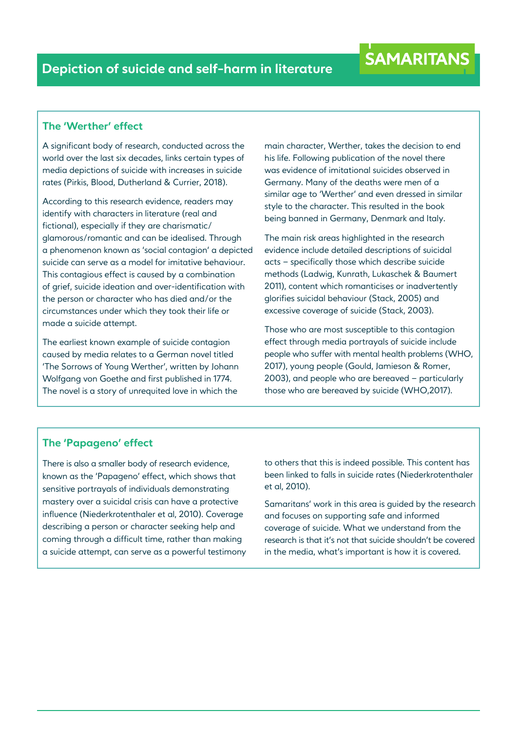#### **The 'Werther' effect**

A significant body of research, conducted across the world over the last six decades, links certain types of media depictions of suicide with increases in suicide rates (Pirkis, Blood, Dutherland & Currier, 2018).

According to this research evidence, readers may identify with characters in literature (real and fictional), especially if they are charismatic/ glamorous/romantic and can be idealised. Through a phenomenon known as 'social contagion' a depicted suicide can serve as a model for imitative behaviour. This contagious effect is caused by a combination of grief, suicide ideation and over-identification with the person or character who has died and/or the circumstances under which they took their life or made a suicide attempt.

The earliest known example of suicide contagion caused by media relates to a German novel titled 'The Sorrows of Young Werther', written by Johann Wolfgang von Goethe and first published in 1774. The novel is a story of unrequited love in which the

main character, Werther, takes the decision to end his life. Following publication of the novel there was evidence of imitational suicides observed in Germany. Many of the deaths were men of a similar age to 'Werther' and even dressed in similar style to the character. This resulted in the book being banned in Germany, Denmark and Italy.

The main risk areas highlighted in the research evidence include detailed descriptions of suicidal acts – specifically those which describe suicide methods (Ladwig, Kunrath, Lukaschek & Baumert 2011), content which romanticises or inadvertently glorifies suicidal behaviour (Stack, 2005) and excessive coverage of suicide (Stack, 2003).

Those who are most susceptible to this contagion effect through media portrayals of suicide include people who suffer with mental health problems (WHO, 2017), young people (Gould, Jamieson & Romer, 2003), and people who are bereaved – particularly those who are bereaved by suicide (WHO,2017).

#### **The 'Papageno' effect**

There is also a smaller body of research evidence, known as the 'Papageno' effect, which shows that sensitive portrayals of individuals demonstrating mastery over a suicidal crisis can have a protective influence (Niederkrotenthaler et al, 2010). Coverage describing a person or character seeking help and coming through a difficult time, rather than making a suicide attempt, can serve as a powerful testimony to others that this is indeed possible. This content has been linked to falls in suicide rates (Niederkrotenthaler et al, 2010).

Samaritans' work in this area is guided by the research and focuses on supporting safe and informed coverage of suicide. What we understand from the research is that it's not that suicide shouldn't be covered in the media, what's important is how it is covered.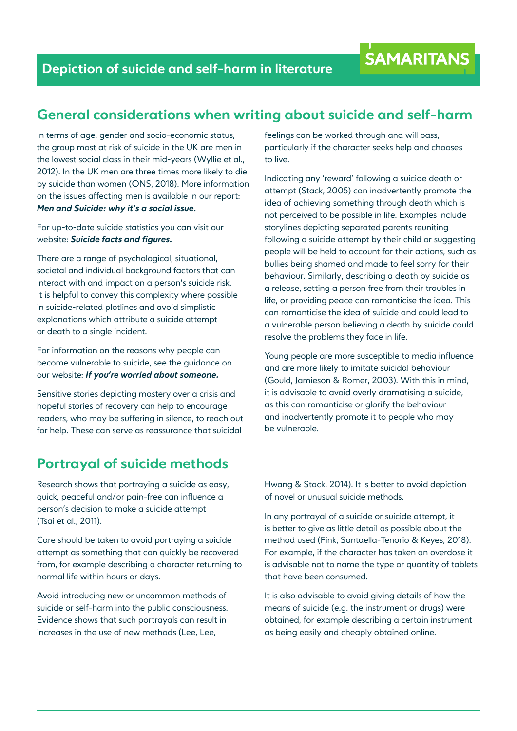### **General considerations when writing about suicide and self-harm**

In terms of age, gender and socio-economic status, the group most at risk of suicide in the UK are men in the lowest social class in their mid-years (Wyllie et al., 2012). In the UK men are three times more likely to die by suicide than women (ONS, 2018). More information on the issues affecting men is available in our report: *Men and Suicide: why it's a social issue.* 

For up-to-date suicide statistics you can visit our website: *Suicide facts and figures.*

There are a range of psychological, situational, societal and individual background factors that can interact with and impact on a person's suicide risk. It is helpful to convey this complexity where possible in suicide-related plotlines and avoid simplistic explanations which attribute a suicide attempt or death to a single incident.

For information on the reasons why people can become vulnerable to suicide, see the guidance on our website: *If you're worried about someone.* 

Sensitive stories depicting mastery over a crisis and hopeful stories of recovery can help to encourage readers, who may be suffering in silence, to reach out for help. These can serve as reassurance that suicidal

#### feelings can be worked through and will pass, particularly if the character seeks help and chooses to live.

Indicating any 'reward' following a suicide death or attempt (Stack, 2005) can inadvertently promote the idea of achieving something through death which is not perceived to be possible in life. Examples include storylines depicting separated parents reuniting following a suicide attempt by their child or suggesting people will be held to account for their actions, such as bullies being shamed and made to feel sorry for their behaviour. Similarly, describing a death by suicide as a release, setting a person free from their troubles in life, or providing peace can romanticise the idea. This can romanticise the idea of suicide and could lead to a vulnerable person believing a death by suicide could resolve the problems they face in life.

Young people are more susceptible to media influence and are more likely to imitate suicidal behaviour (Gould, Jamieson & Romer, 2003). With this in mind, it is advisable to avoid overly dramatising a suicide, as this can romanticise or glorify the behaviour and inadvertently promote it to people who may be vulnerable.

## **Portrayal of suicide methods**

Research shows that portraying a suicide as easy, quick, peaceful and/or pain-free can influence a person's decision to make a suicide attempt (Tsai et al., 2011).

Care should be taken to avoid portraying a suicide attempt as something that can quickly be recovered from, for example describing a character returning to normal life within hours or days.

Avoid introducing new or uncommon methods of suicide or self-harm into the public consciousness. Evidence shows that such portrayals can result in increases in the use of new methods (Lee, Lee,

Hwang & Stack, 2014). It is better to avoid depiction of novel or unusual suicide methods.

In any portrayal of a suicide or suicide attempt, it is better to give as little detail as possible about the method used (Fink, Santaella-Tenorio & Keyes, 2018). For example, if the character has taken an overdose it is advisable not to name the type or quantity of tablets that have been consumed.

It is also advisable to avoid giving details of how the means of suicide (e.g. the instrument or drugs) were obtained, for example describing a certain instrument as being easily and cheaply obtained online.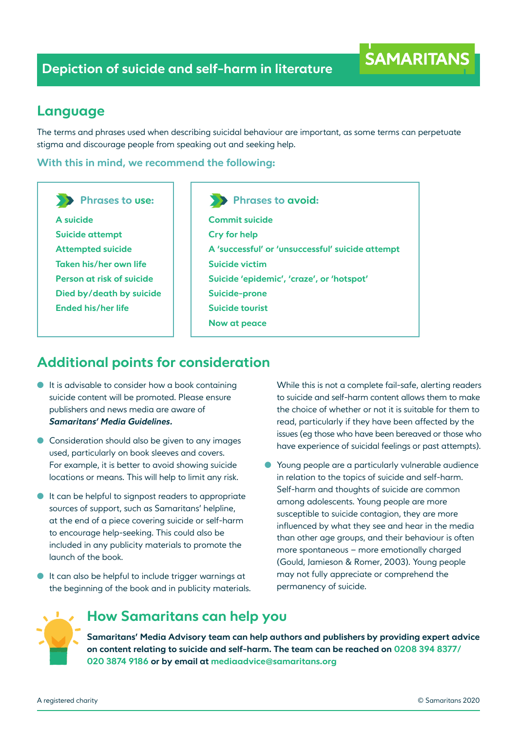#### **Language**

The terms and phrases used when describing suicidal behaviour are important, as some terms can perpetuate stigma and discourage people from speaking out and seeking help.

**With this in mind, we recommend the following:**

**Phrases to use:**

**A suicide Suicide attempt Attempted suicide Taken his/her own life Person at risk of suicide Died by/death by suicide Ended his/her life** 

**Phrases to avoid:**

**Commit suicide Cry for help A 'successful' or 'unsuccessful' suicide attempt Suicide victim Suicide 'epidemic', 'craze', or 'hotspot' Suicide-prone Suicide tourist Now at peace** 

## **Additional points for consideration**

- $\bullet$  It is advisable to consider how a book containing suicide content will be promoted. Please ensure publishers and news media are aware of *Samaritans' Media Guidelines.*
- **Consideration should also be given to any images** used, particularly on book sleeves and covers. For example, it is better to avoid showing suicide locations or means. This will help to limit any risk.
- $\bullet$  It can be helpful to signpost readers to appropriate sources of support, such as Samaritans' helpline, at the end of a piece covering suicide or self-harm to encourage help-seeking. This could also be included in any publicity materials to promote the launch of the book.
- It can also be helpful to include trigger warnings at the beginning of the book and in publicity materials.

While this is not a complete fail-safe, alerting readers to suicide and self-harm content allows them to make the choice of whether or not it is suitable for them to read, particularly if they have been affected by the issues (eg those who have been bereaved or those who have experience of suicidal feelings or past attempts).

**SAMARITANS** 

l Young people are a particularly vulnerable audience in relation to the topics of suicide and self-harm. Self-harm and thoughts of suicide are common among adolescents. Young people are more susceptible to suicide contagion, they are more influenced by what they see and hear in the media than other age groups, and their behaviour is often more spontaneous – more emotionally charged (Gould, Jamieson & Romer, 2003). Young people may not fully appreciate or comprehend the permanency of suicide.



### **How Samaritans can help you**

**Samaritans' Media Advisory team can help authors and publishers by providing expert advice on content relating to suicide and self-harm. The team can be reached on 0208 394 8377/ 020 3874 9186 or by email at mediaadvice@samaritans.org**